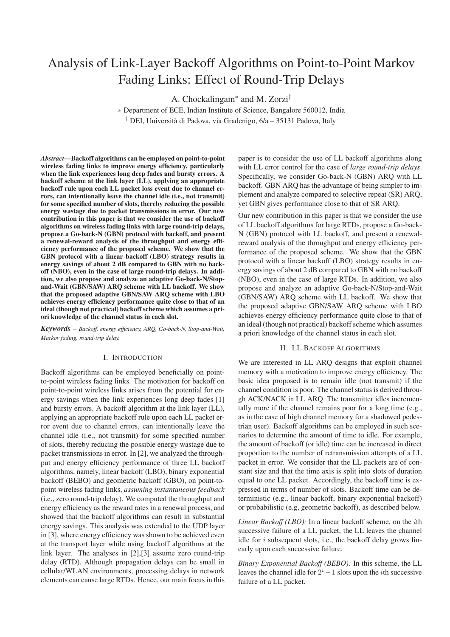# Analysis of Link-Layer Backoff Algorithms on Point-to-Point Markov Fading Links: Effect of Round-Trip Delays

A. Chockalingam<sup>∗</sup> and M. Zorzi†

∗ Department of ECE, Indian Institute of Science, Bangalore 560012, India <sup> $\dagger$ </sup> DEI, Università di Padova, via Gradenigo, 6/a – 35131 Padova, Italy

*Abstract***—Backoff algorithms can be employed on point-to-point wireless fading links to improve energy efficiency, particularly when the link experiences long deep fades and bursty errors. A backoff scheme at the link layer (LL), applying an appropriate backoff rule upon each LL packet loss event due to channel errors, can intentionally leave the channel idle (i.e., not transmit) for some specified number of slots, thereby reducing the possible energy wastage due to packet transmissions in error. Our new contribution in this paper is that we consider the use of backoff algorithms on wireless fading links with large round-trip delays, propose a Go-back-N (GBN) protocol with backoff, and present a renewal-reward analysis of the throughput and energy efficiency performance of the proposed scheme. We show that the GBN protocol with a linear backoff (LBO) strategy results in energy savings of about 2 dB compared to GBN with no backoff (NBO), even in the case of large round-trip delays. In addition, we also propose and analyze an adaptive Go-back-N/Stopand-Wait (GBN/SAW) ARQ scheme with LL backoff. We show that the proposed adaptive GBN/SAW ARQ scheme with LBO achieves energy efficiency performance quite close to that of an ideal (though not practical) backoff scheme which assumes a priori knowledge of the channel status in each slot.**

*Keywords* – *Backoff, energy efficiency, ARQ, Go-back-N, Stop-and-Wait, Markov fading, round-trip delay.*

### I. INTRODUCTION

Backoff algorithms can be employed beneficially on pointto-point wireless fading links. The motivation for backoff on point-to-point wireless links arises from the potential for energy savings when the link experiences long deep fades [1] and bursty errors. A backoff algorithm at the link layer (LL), applying an appropriate backoff rule upon each LL packet error event due to channel errors, can intentionally leave the channel idle (i.e., not transmit) for some specified number of slots, thereby reducing the possible energy wastage due to packet transmissions in error. In [2], we analyzed the throughput and energy efficiency performance of three LL backoff algorithms, namely, linear backoff (LBO), binary exponential backoff (BEBO) and geometric backoff (GBO), on point-topoint wireless fading links, *assuming instantaneous feedback* (i.e., zero round-trip delay). We computed the throughput and energy efficiency as the reward rates in a renewal process, and showed that the backoff algorithms can result in substantial energy savings. This analysis was extended to the UDP layer in [3], where energy efficiency was shown to be achieved even at the transport layer while using backoff algorithms at the link layer. The analyses in [2],[3] assume zero round-trip delay (RTD). Although propagation delays can be small in cellular/WLAN environments, processing delays in network elements can cause large RTDs. Hence, our main focus in this paper is to consider the use of LL backoff algorithms along with LL error control for the case of *large round-trip delays*. Specifically, we consider Go-back-N (GBN) ARQ with LL backoff. GBN ARQ has the advantage of being simpler to implement and analyze compared to selective repeat (SR) ARQ, yet GBN gives performance close to that of SR ARQ.

Our new contribution in this paper is that we consider the use of LL backoff algorithms for large RTDs, propose a Go-back-N (GBN) protocol with LL backoff, and present a renewalreward analysis of the throughput and energy efficiency performance of the proposed scheme. We show that the GBN protocol with a linear backoff (LBO) strategy results in energy savings of about 2 dB compared to GBN with no backoff (NBO), even in the case of large RTDs. In addition, we also propose and analyze an adaptive Go-back-N/Stop-and-Wait (GBN/SAW) ARQ scheme with LL backoff. We show that the proposed adaptive GBN/SAW ARQ scheme with LBO achieves energy efficiency performance quite close to that of an ideal (though not practical) backoff scheme which assumes a priori knowledge of the channel status in each slot.

### II. LL BACKOFF ALGORITHMS

We are interested in LL ARQ designs that exploit channel memory with a motivation to improve energy efficiency. The basic idea proposed is to remain idle (not transmit) if the channel condition is poor. The channel status is derived through ACK/NACK in LL ARQ. The transmitter idles incrementally more if the channel remains poor for a long time (e.g., as in the case of high channel memory for a shadowed pedestrian user). Backoff algorithms can be employed in such scenarios to determine the amount of time to idle. For example, the amount of backoff (or idle) time can be increased in direct proportion to the number of retransmission attempts of a LL packet in error. We consider that the LL packets are of constant size and that the time axis is split into slots of duration equal to one LL packet. Accordingly, the backoff time is expressed in terms of number of slots. Backoff time can be deterministic (e.g., linear backoff, binary exponential backoff) or probabilistic (e.g, geometric backoff), as described below.

*Linear Backoff (LBO):* In a linear backoff scheme, on the ith successive failure of a LL packet, the LL leaves the channel idle for  $i$  subsequent slots, i.e., the backoff delay grows linearly upon each successive failure.

*Binary Exponential Backoff (BEBO):* In this scheme, the LL leaves the channel idle for 2*<sup>i</sup>* −1 slots upon the ith successive failure of a LL packet.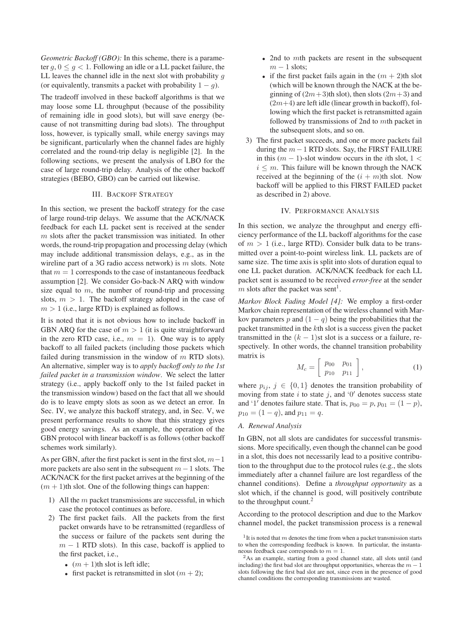*Geometric Backoff (GBO):* In this scheme, there is a parameter  $q$ ,  $0 \le q \le 1$ . Following an idle or a LL packet failure, the LL leaves the channel idle in the next slot with probability  $q$ (or equivalently, transmits a packet with probability  $1 - q$ ).

The tradeoff involved in these backoff algorithms is that we may loose some LL throughput (because of the possibility of remaining idle in good slots), but will save energy (because of not transmitting during bad slots). The throughput loss, however, is typically small, while energy savings may be significant, particularly when the channel fades are highly correlated and the round-trip delay is negligible [2]. In the following sections, we present the analysis of LBO for the case of large round-trip delay. Analysis of the other backoff strategies (BEBO, GBO) can be carried out likewise.

# III. BACKOFF STRATEGY

In this section, we present the backoff strategy for the case of large round-trip delays. We assume that the ACK/NACK feedback for each LL packet sent is received at the sender m slots after the packet transmission was initiated. In other words, the round-trip propagation and processing delay (which may include additional transmission delays, e.g., as in the wireline part of a 3G radio access network) is  $m$  slots. Note that  $m = 1$  corresponds to the case of instantaneous feedback assumption [2]. We consider Go-back-N ARQ with window size equal to  $m$ , the number of round-trip and processing slots,  $m > 1$ . The backoff strategy adopted in the case of  $m > 1$  (i.e., large RTD) is explained as follows.

It is noted that it is not obvious how to include backoff in GBN ARQ for the case of  $m > 1$  (it is quite straightforward in the zero RTD case, i.e.,  $m = 1$ ). One way is to apply backoff to all failed packets (including those packets which failed during transmission in the window of  $m$  RTD slots). An alternative, simpler way is to *apply backoff only to the 1st failed packet in a transmission window*. We select the latter strategy (i.e., apply backoff only to the 1st failed packet in the transmission window) based on the fact that all we should do is to leave empty slots as soon as we detect an error. In Sec. IV, we analyze this backoff strategy, and, in Sec. V, we present performance results to show that this strategy gives good energy savings. As an example, the operation of the GBN protocol with linear backoff is as follows (other backoff schemes work similarly).

As per GBN, after the first packet is sent in the first slot,  $m-1$ more packets are also sent in the subsequent  $m - 1$  slots. The ACK/NACK for the first packet arrives at the beginning of the  $(m + 1)$ th slot. One of the following things can happen:

- 1) All the  $m$  packet transmissions are successful, in which case the protocol continues as before.
- 2) The first packet fails. All the packets from the first packet onwards have to be retransmitted (regardless of the success or failure of the packets sent during the  $m - 1$  RTD slots). In this case, backoff is applied to the first packet, i.e.,
	- $(m + 1)$ th slot is left idle;
	- first packet is retransmitted in slot  $(m + 2)$ ;
- 2nd to mth packets are resent in the subsequent  $m - 1$  slots:
- if the first packet fails again in the  $(m + 2)$ th slot (which will be known through the NACK at the beginning of  $(2m+3)$ th slot), then slots  $(2m+3)$  and  $(2m+4)$  are left idle (linear growth in backoff), following which the first packet is retransmitted again followed by transmissions of 2nd to mth packet in the subsequent slots, and so on.
- 3) The first packet succeeds, and one or more packets fail during the  $m-1$  RTD slots. Say, the FIRST FAILURE in this  $(m - 1)$ -slot window occurs in the *i*th slot,  $1 <$  $i \leq m$ . This failure will be known through the NACK received at the beginning of the  $(i + m)$ th slot. Now backoff will be applied to this FIRST FAILED packet as described in 2) above.

# IV. PERFORMANCE ANALYSIS

In this section, we analyze the throughput and energy efficiency performance of the LL backoff algorithms for the case of  $m > 1$  (i.e., large RTD). Consider bulk data to be transmitted over a point-to-point wireless link. LL packets are of same size. The time axis is split into slots of duration equal to one LL packet duration. ACK/NACK feedback for each LL packet sent is assumed to be received *error-free* at the sender m slots after the packet was sent<sup>1</sup>.

*Markov Block Fading Model [4]:* We employ a first-order Markov chain representation of the wireless channel with Markov parameters p and  $(1 - q)$  being the probabilities that the packet transmitted in the kth slot is a success given the packet transmitted in the  $(k - 1)$ st slot is a success or a failure, respectively. In other words, the channel transition probability matrix is

$$
M_c = \left[ \begin{array}{cc} p_{00} & p_{01} \\ p_{10} & p_{11} \end{array} \right],
$$
 (1)

where  $p_{ij}$ ,  $j \in \{0,1\}$  denotes the transition probability of moving from state i to state j, and ' $0'$  denotes success state and '1' denotes failure state. That is,  $p_{00} = p$ ,  $p_{01} = (1 - p)$ ,  $p_{10} = (1 - q)$ , and  $p_{11} = q$ .

# *A. Renewal Analysis*

In GBN, not all slots are candidates for successful transmissions. More specifically, even though the channel can be good in a slot, this does not necessarily lead to a positive contribution to the throughput due to the protocol rules (e.g., the slots immediately after a channel failure are lost regardless of the channel conditions). Define a *throughput opportunity* as a slot which, if the channel is good, will positively contribute to the throughput count.<sup>2</sup>

According to the protocol description and due to the Markov channel model, the packet transmission process is a renewal

<sup>&</sup>lt;sup>1</sup>It is noted that  $m$  denotes the time from when a packet transmission starts to when the corresponding feedback is known. In particular, the instantaneous feedback case corresponds to *m* = 1.

<sup>2</sup>As an example, starting from a good channel state, all slots until (and including) the first bad slot are throughput opportunities, whereas the  $m - 1$ slots following the first bad slot are not, since even in the presence of good channel conditions the corresponding transmissions are wasted.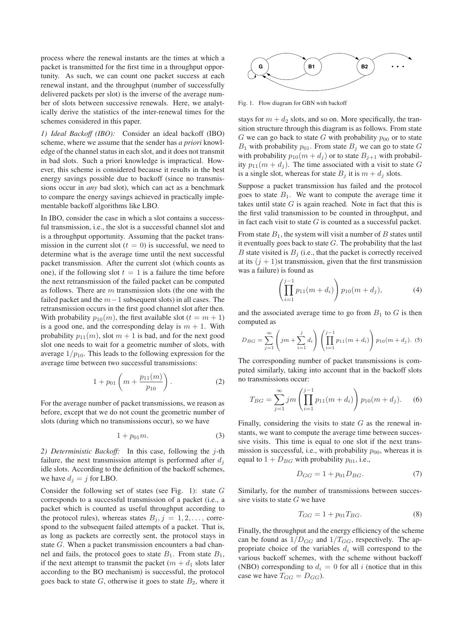process where the renewal instants are the times at which a packet is transmitted for the first time in a throughput opportunity. As such, we can count one packet success at each renewal instant, and the throughput (number of successfully delivered packets per slot) is the inverse of the average number of slots between successive renewals. Here, we analytically derive the statistics of the inter-renewal times for the schemes considered in this paper.

*1) Ideal Backoff (IBO):* Consider an ideal backoff (IBO) scheme, where we assume that the sender has *a priori* knowledge of the channel status in each slot, and it does not transmit in bad slots. Such a priori knowledge is impractical. However, this scheme is considered because it results in the best energy savings possible due to backoff (since no transmissions occur in *any* bad slot), which can act as a benchmark to compare the energy savings achieved in practically implementable backoff algorithms like LBO.

In IBO, consider the case in which a slot contains a successful transmission, i.e., the slot is a successful channel slot and is a throughput opportunity. Assuming that the packet transmission in the current slot  $(t = 0)$  is successful, we need to determine what is the average time until the next successful packet transmission. After the current slot (which counts as one), if the following slot  $t = 1$  is a failure the time before the next retransmission of the failed packet can be computed as follows. There are  $m$  transmission slots (the one with the failed packet and the  $m-1$  subsequent slots) in all cases. The retransmission occurs in the first good channel slot after then. With probability  $p_{10}(m)$ , the first available slot  $(t = m + 1)$ is a good one, and the corresponding delay is  $m + 1$ . With probability  $p_{11}(m)$ , slot  $m + 1$  is bad, and for the next good slot one needs to wait for a geometric number of slots, with average  $1/p_{10}$ . This leads to the following expression for the average time between two successful transmissions:

$$
1 + p_{01}\left(m + \frac{p_{11}(m)}{p_{10}}\right).
$$
 (2)

For the average number of packet transmissions, we reason as before, except that we do not count the geometric number of slots (during which no transmissions occur), so we have

$$
1 + p_{01}m.\t\t(3)
$$

*2) Deterministic Backoff:* In this case, following the j-th failure, the next transmission attempt is performed after  $d_i$ idle slots. According to the definition of the backoff schemes, we have  $d_j = j$  for LBO.

Consider the following set of states (see Fig. 1): state  $G$ corresponds to a successful transmission of a packet (i.e., a packet which is counted as useful throughput according to the protocol rules), whereas states  $B_j$ ,  $j = 1, 2, \ldots$ , correspond to the subsequent failed attempts of a packet. That is, as long as packets are correctly sent, the protocol stays in state G. When a packet transmission encounters a bad channel and fails, the protocol goes to state  $B_1$ . From state  $B_1$ , if the next attempt to transmit the packet  $(m + d_1)$  slots later according to the BO mechanism) is successful, the protocol goes back to state  $G$ , otherwise it goes to state  $B_2$ , where it



Fig. 1. Flow diagram for GBN with backoff

stays for  $m + d_2$  slots, and so on. More specifically, the transition structure through this diagram is as follows. From state G we can go back to state G with probability  $p_{00}$  or to state  $B_1$  with probability  $p_{01}$ . From state  $B_j$  we can go to state G with probability  $p_{10}(m + d_j)$  or to state  $B_{j+1}$  with probability  $p_{11}(m + d_i)$ . The time associated with a visit to state G is a single slot, whereas for state  $B_j$  it is  $m + d_j$  slots.

Suppose a packet transmission has failed and the protocol goes to state  $B_1$ . We want to compute the average time it takes until state  $G$  is again reached. Note in fact that this is the first valid transmission to be counted in throughput, and in fact each visit to state  $G$  is counted as a successful packet.

From state  $B_1$ , the system will visit a number of  $B$  states until it eventually goes back to state  $G$ . The probability that the last B state visited is  $B_i$  (i.e., that the packet is correctly received at its  $(j + 1)$ st transmission, given that the first transmission was a failure) is found as

$$
\left(\prod_{i=1}^{j-1} p_{11}(m+d_i)\right) p_{10}(m+d_j),\tag{4}
$$

and the associated average time to go from  $B_1$  to  $G$  is then computed as

$$
D_{BG} = \sum_{j=1}^{\infty} \left( jm + \sum_{i=1}^{j} d_i \right) \left( \prod_{i=1}^{j-1} p_{11}(m + d_i) \right) p_{10}(m + d_j). \tag{5}
$$

The corresponding number of packet transmissions is computed similarly, taking into account that in the backoff slots no transmissions occur:

$$
T_{BG} = \sum_{j=1}^{\infty} jm \left( \prod_{i=1}^{j-1} p_{11}(m + d_i) \right) p_{10}(m + d_j). \tag{6}
$$

Finally, considering the visits to state  $G$  as the renewal instants, we want to compute the average time between successive visits. This time is equal to one slot if the next transmission is successful, i.e., with probability  $p_{00}$ , whereas it is equal to  $1 + D_{BG}$  with probability  $p_{01}$ , i.e.,

$$
D_{GG} = 1 + p_{01} D_{BG}.\t\t(7)
$$

Similarly, for the number of transmissions between successive visits to state  $G$  we have

$$
T_{GG} = 1 + p_{01} T_{BG}.
$$
 (8)

Finally, the throughput and the energy efficiency of the scheme can be found as  $1/D_{GG}$  and  $1/T_{GG}$ , respectively. The appropriate choice of the variables d*<sup>i</sup>* will correspond to the various backoff schemes, with the scheme without backoff (NBO) corresponding to  $d_i = 0$  for all i (notice that in this case we have  $T_{GG} = D_{GG}$ ).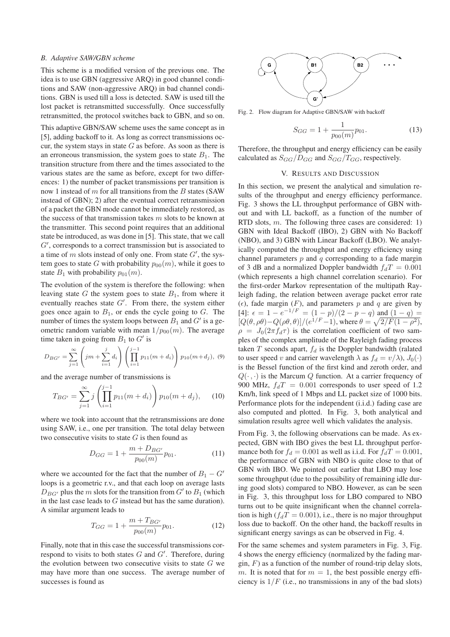# *B. Adaptive SAW/GBN scheme*

This scheme is a modified version of the previous one. The idea is to use GBN (aggressive ARQ) in good channel conditions and SAW (non-aggressive ARQ) in bad channel conditions. GBN is used till a loss is detected. SAW is used till the lost packet is retransmitted successfully. Once successfully retransmitted, the protocol switches back to GBN, and so on.

This adaptive GBN/SAW scheme uses the same concept as in [5], adding backoff to it. As long as correct transmissions occur, the system stays in state  $G$  as before. As soon as there is an erroneous transmission, the system goes to state  $B_1$ . The transition structure from there and the times associated to the various states are the same as before, except for two differences: 1) the number of packet transmissions per transition is now 1 instead of  $m$  for all transitions from the  $B$  states (SAW instead of GBN); 2) after the eventual correct retransmission of a packet the GBN mode cannot be immediately restored, as the success of that transmission takes  $m$  slots to be known at the transmitter. This second point requires that an additional state be introduced, as was done in [5]. This state, that we call G , corresponds to a correct transmission but is associated to a time of m slots instead of only one. From state  $G'$ , the system goes to state G with probability  $p_{00}(m)$ , while it goes to state  $B_1$  with probability  $p_{01}(m)$ .

The evolution of the system is therefore the following: when leaving state  $G$  the system goes to state  $B_1$ , from where it eventually reaches state  $G'$ . From there, the system either goes once again to  $B_1$ , or ends the cycle going to G. The number of times the system loops between  $B_1$  and  $G'$  is a geometric random variable with mean  $1/p_{00}(m)$ . The average time taken in going from  $B_1$  to  $G'$  is

$$
D_{BG'} = \sum_{j=1}^{\infty} \left( jm + \sum_{i=1}^{j} d_i \right) \left( \prod_{i=1}^{j-1} p_{11}(m + d_i) \right) p_{10}(m + d_j), \tag{9}
$$

and the average number of transmissions is

$$
T_{BG'} = \sum_{j=1}^{\infty} j \left( \prod_{i=1}^{j-1} p_{11}(m + d_i) \right) p_{10}(m + d_j), \quad (10)
$$

where we took into account that the retransmissions are done using SAW, i.e., one per transition. The total delay between two consecutive visits to state  $G$  is then found as

$$
D_{GG} = 1 + \frac{m + D_{BG'}}{p_{00}(m)} p_{01}.
$$
 (11)

where we accounted for the fact that the number of  $B_1 - G'$ loops is a geometric r.v., and that each loop on average lasts  $D_{BG'}$  plus the m slots for the transition from  $G'$  to  $B_1$  (which in the last case leads to G instead but has the same duration). A similar argument leads to

$$
T_{GG} = 1 + \frac{m + T_{BG'}}{p_{00}(m)} p_{01}.
$$
 (12)

Finally, note that in this case the successful transmissions correspond to visits to both states  $G$  and  $G'$ . Therefore, during the evolution between two consecutive visits to state  $G$  we may have more than one success. The average number of successes is found as



Fig. 2. Flow diagram for Adaptive GBN/SAW with backoff

$$
S_{GG} = 1 + \frac{1}{p_{00}(m)} p_{01}.
$$
 (13)

Therefore, the throughput and energy efficiency can be easily calculated as S*GG*/D*GG* and S*GG*/T*GG*, respectively.

#### V. RESULTS AND DISCUSSION

In this section, we present the analytical and simulation results of the throughput and energy efficiency performance. Fig. 3 shows the LL throughput performance of GBN without and with LL backoff, as a function of the number of RTD slots,  $m$ . The following three cases are considered: 1) GBN with Ideal Backoff (IBO), 2) GBN with No Backoff (NBO), and 3) GBN with Linear Backoff (LBO). We analytically computed the throughput and energy efficiency using channel parameters  $p$  and  $q$  corresponding to a fade margin of 3 dB and a normalized Doppler bandwidth  $f_dT = 0.001$ (which represents a high channel correlation scenario). For the first-order Markov representation of the multipath Rayleigh fading, the relation between average packet error rate  $(\epsilon)$ , fade margin  $(F)$ , and parameters p and q are given by [4]:  $\epsilon = 1 - e^{-1/F} = (1 - p)/(2 - p - q)$  and  $(1 - q) =$  $[Q(\theta, \rho\theta)-Q(\rho\theta, \theta)]/(e^{1/F}-1)$ , where  $\theta = \sqrt{2/F(1-\rho^2)}$ ,  $\rho = J_0(2\pi f_d \tau)$  is the correlation coefficient of two samples of the complex amplitude of the Rayleigh fading process taken  $T$  seconds apart,  $f_d$  is the Doppler bandwidth (ralated to user speed v and carrier wavelength  $\lambda$  as  $f_d = v/\lambda$ ),  $J_0(\cdot)$ is the Bessel function of the first kind and zeroth order, and  $Q(\cdot, \cdot)$  is the Marcum Q function. At a carrier frequency of 900 MHz,  $f_dT = 0.001$  corresponds to user speed of 1.2 Km/h, link speed of 1 Mbps and LL packet size of 1000 bits. Performance plots for the independent (i.i.d.) fading case are also computed and plotted. In Fig. 3, both analytical and simulation results agree well which validates the analysis.

From Fig. 3, the following observations can be made. As expected, GBN with IBO gives the best LL throughput performance both for  $f_d = 0.001$  as well as i.i.d. For  $f_dT = 0.001$ , the performance of GBN with NBO is quite close to that of GBN with IBO. We pointed out earlier that LBO may lose some throughput (due to the possibility of remaining idle during good slots) compared to NBO. However, as can be seen in Fig. 3, this throughput loss for LBO compared to NBO turns out to be quite insignificant when the channel correlation is high ( $f_dT = 0.001$ ), i.e., there is no major throughput loss due to backoff. On the other hand, the backoff results in significant energy savings as can be observed in Fig. 4.

For the same schemes and system parameters in Fig. 3, Fig. 4 shows the energy efficiency (normalized by the fading margin,  $F$ ) as a function of the number of round-trip delay slots, m. It is noted that for  $m = 1$ , the best possible energy efficiency is  $1/F$  (i.e., no transmissions in any of the bad slots)